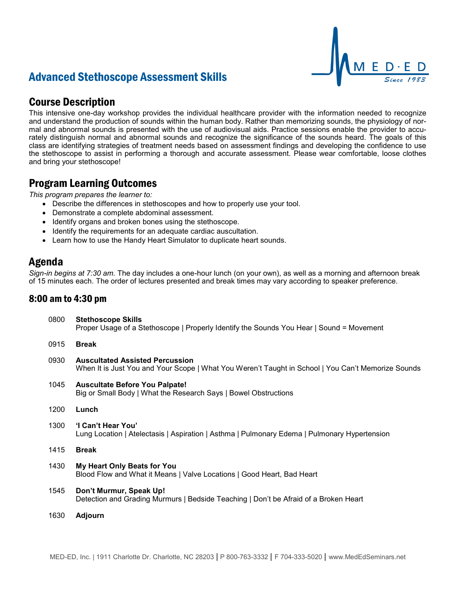## Advanced Stethoscope Assessment Skills

## Course Description

This intensive one-day workshop provides the individual healthcare provider with the information needed to recognize and understand the production of sounds within the human body. Rather than memorizing sounds, the physiology of normal and abnormal sounds is presented with the use of audiovisual aids. Practice sessions enable the provider to accurately distinguish normal and abnormal sounds and recognize the significance of the sounds heard. The goals of this class are identifying strategies of treatment needs based on assessment findings and developing the confidence to use the stethoscope to assist in performing a thorough and accurate assessment. Please wear comfortable, loose clothes and bring your stethoscope!

### Program Learning Outcomes

*This program prepares the learner to:*

- Describe the differences in stethoscopes and how to properly use your tool.
- Demonstrate a complete abdominal assessment.
- Identify organs and broken bones using the stethoscope.
- Identify the requirements for an adequate cardiac auscultation.
- Learn how to use the Handy Heart Simulator to duplicate heart sounds.

### Agenda

*Sign-in begins at 7:30 am.* The day includes a one-hour lunch (on your own), as well as a morning and afternoon break of 15 minutes each. The order of lectures presented and break times may vary according to speaker preference.

#### 8:00 am to 4:30 pm

| 0800 | <b>Stethoscope Skills</b><br>Proper Usage of a Stethoscope   Properly Identify the Sounds You Hear   Sound = Movement                        |
|------|----------------------------------------------------------------------------------------------------------------------------------------------|
| 0915 | <b>Break</b>                                                                                                                                 |
| 0930 | <b>Auscultated Assisted Percussion</b><br>When It is Just You and Your Scope   What You Weren't Taught in School   You Can't Memorize Sounds |
| 1045 | <b>Auscultate Before You Palpate!</b><br>Big or Small Body   What the Research Says   Bowel Obstructions                                     |
| 1200 | Lunch                                                                                                                                        |
| 1300 | 'I Can't Hear You'<br>Lung Location   Atelectasis   Aspiration   Asthma   Pulmonary Edema   Pulmonary Hypertension                           |
| 1415 | <b>Break</b>                                                                                                                                 |
| 1430 | My Heart Only Beats for You<br>Blood Flow and What it Means   Valve Locations   Good Heart, Bad Heart                                        |
| 1545 | Don't Murmur, Speak Up!<br>Detection and Grading Murmurs   Bedside Teaching   Don't be Afraid of a Broken Heart                              |
| 1630 | <b>Adjourn</b>                                                                                                                               |